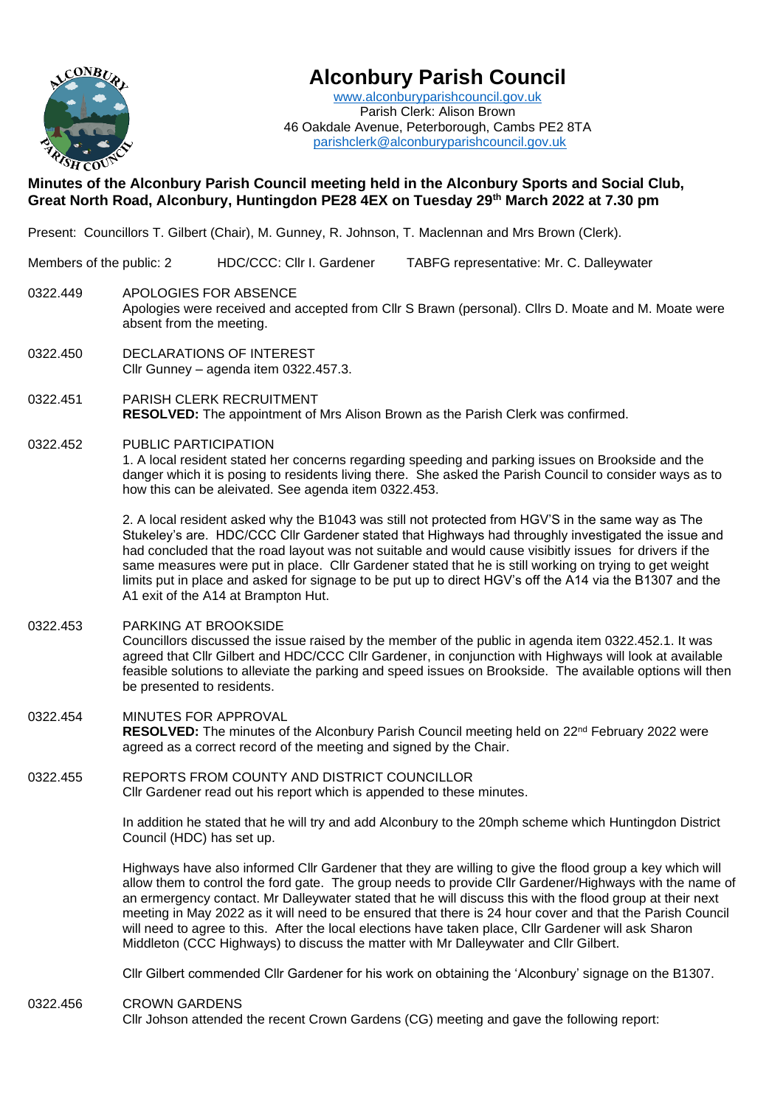

# **Alconbury Parish Council**

[www.alconburyparishcouncil.gov.uk](http://www.alconburyparishcouncil.gov.uk/) Parish Clerk: Alison Brown 46 Oakdale Avenue, Peterborough, Cambs PE2 8TA [parishclerk@alconburyparishcouncil.gov.uk](mailto:parishclerk@alconburyparishcouncil.gov.uk)

## **Minutes of the Alconbury Parish Council meeting held in the Alconbury Sports and Social Club, Great North Road, Alconbury, Huntingdon PE28 4EX on Tuesday 29th March 2022 at 7.30 pm**

Present: Councillors T. Gilbert (Chair), M. Gunney, R. Johnson, T. Maclennan and Mrs Brown (Clerk).

Members of the public: 2 HDC/CCC: Cllr I. Gardener TABFG representative: Mr. C. Dalleywater

- 0322.449 APOLOGIES FOR ABSENCE Apologies were received and accepted from Cllr S Brawn (personal). Cllrs D. Moate and M. Moate were absent from the meeting.
- 0322.450 DECLARATIONS OF INTEREST Cllr Gunney – agenda item 0322.457.3.
- 0322.451 PARISH CLERK RECRUITMENT **RESOLVED:** The appointment of Mrs Alison Brown as the Parish Clerk was confirmed.
- 0322.452 PUBLIC PARTICIPATION

1. A local resident stated her concerns regarding speeding and parking issues on Brookside and the danger which it is posing to residents living there. She asked the Parish Council to consider ways as to how this can be aleivated. See agenda item 0322.453.

2. A local resident asked why the B1043 was still not protected from HGV'S in the same way as The Stukeley's are. HDC/CCC Cllr Gardener stated that Highways had throughly investigated the issue and had concluded that the road layout was not suitable and would cause visibitly issues for drivers if the same measures were put in place. Cllr Gardener stated that he is still working on trying to get weight limits put in place and asked for signage to be put up to direct HGV's off the A14 via the B1307 and the A1 exit of the A14 at Brampton Hut.

0322.453 PARKING AT BROOKSIDE

Councillors discussed the issue raised by the member of the public in agenda item 0322.452.1. It was agreed that Cllr Gilbert and HDC/CCC Cllr Gardener, in conjunction with Highways will look at available feasible solutions to alleviate the parking and speed issues on Brookside. The available options will then be presented to residents.

- 0322.454 MINUTES FOR APPROVAL RESOLVED: The minutes of the Alconbury Parish Council meeting held on 22<sup>nd</sup> February 2022 were agreed as a correct record of the meeting and signed by the Chair.
- 0322.455 REPORTS FROM COUNTY AND DISTRICT COUNCILLOR Cllr Gardener read out his report which is appended to these minutes.

In addition he stated that he will try and add Alconbury to the 20mph scheme which Huntingdon District Council (HDC) has set up.

Highways have also informed Cllr Gardener that they are willing to give the flood group a key which will allow them to control the ford gate. The group needs to provide Cllr Gardener/Highways with the name of an ermergency contact. Mr Dalleywater stated that he will discuss this with the flood group at their next meeting in May 2022 as it will need to be ensured that there is 24 hour cover and that the Parish Council will need to agree to this. After the local elections have taken place, Cllr Gardener will ask Sharon Middleton (CCC Highways) to discuss the matter with Mr Dalleywater and Cllr Gilbert.

Cllr Gilbert commended Cllr Gardener for his work on obtaining the 'Alconbury' signage on the B1307.

0322.456 CROWN GARDENS

Cllr Johson attended the recent Crown Gardens (CG) meeting and gave the following report: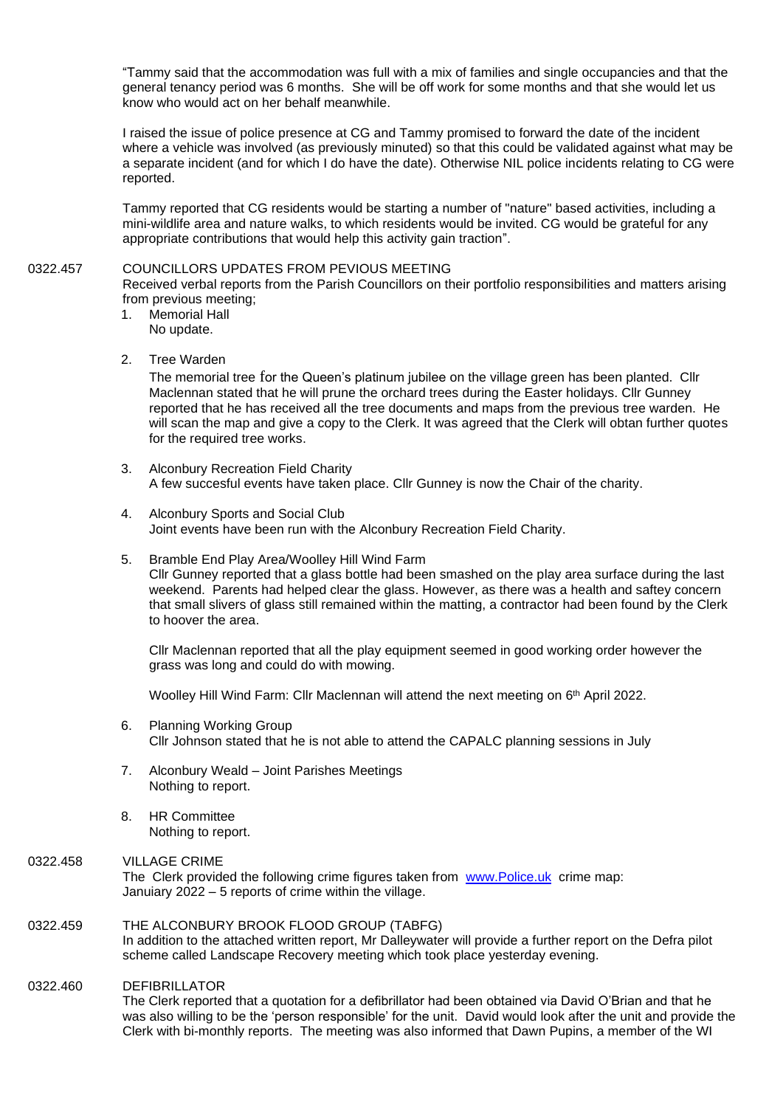"Tammy said that the accommodation was full with a mix of families and single occupancies and that the general tenancy period was 6 months. She will be off work for some months and that she would let us know who would act on her behalf meanwhile.

I raised the issue of police presence at CG and Tammy promised to forward the date of the incident where a vehicle was involved (as previously minuted) so that this could be validated against what may be a separate incident (and for which I do have the date). Otherwise NIL police incidents relating to CG were reported.

Tammy reported that CG residents would be starting a number of "nature" based activities, including a mini-wildlife area and nature walks, to which residents would be invited. CG would be grateful for any appropriate contributions that would help this activity gain traction".

#### 0322.457 COUNCILLORS UPDATES FROM PEVIOUS MEETING

Received verbal reports from the Parish Councillors on their portfolio responsibilities and matters arising from previous meeting;

- 1. Memorial Hall No update.
- 2. Tree Warden

The memorial tree for the Queen's platinum jubilee on the village green has been planted. Cllr Maclennan stated that he will prune the orchard trees during the Easter holidays. Cllr Gunney reported that he has received all the tree documents and maps from the previous tree warden. He will scan the map and give a copy to the Clerk. It was agreed that the Clerk will obtan further quotes for the required tree works.

- 3. Alconbury Recreation Field Charity A few succesful events have taken place. Cllr Gunney is now the Chair of the charity.
- 4. Alconbury Sports and Social Club Joint events have been run with the Alconbury Recreation Field Charity.
- 5. Bramble End Play Area/Woolley Hill Wind Farm Cllr Gunney reported that a glass bottle had been smashed on the play area surface during the last weekend. Parents had helped clear the glass. However, as there was a health and saftey concern that small slivers of glass still remained within the matting, a contractor had been found by the Clerk to hoover the area.

Cllr Maclennan reported that all the play equipment seemed in good working order however the grass was long and could do with mowing.

Woolley Hill Wind Farm: Cllr Maclennan will attend the next meeting on 6<sup>th</sup> April 2022.

- 6. Planning Working Group Cllr Johnson stated that he is not able to attend the CAPALC planning sessions in July
- 7. Alconbury Weald Joint Parishes Meetings Nothing to report.
- 8. HR Committee Nothing to report.

### 0322.458 VILLAGE CRIME

The Clerk provided the following crime figures taken from [www.Police.uk](http://www.police.uk/) crime map: Januiary 2022 – 5 reports of crime within the village.

#### 0322.459 THE ALCONBURY BROOK FLOOD GROUP (TABFG)

In addition to the attached written report, Mr Dalleywater will provide a further report on the Defra pilot scheme called Landscape Recovery meeting which took place yesterday evening.

### 0322.460 DEFIBRILLATOR

The Clerk reported that a quotation for a defibrillator had been obtained via David O'Brian and that he was also willing to be the 'person responsible' for the unit. David would look after the unit and provide the Clerk with bi-monthly reports. The meeting was also informed that Dawn Pupins, a member of the WI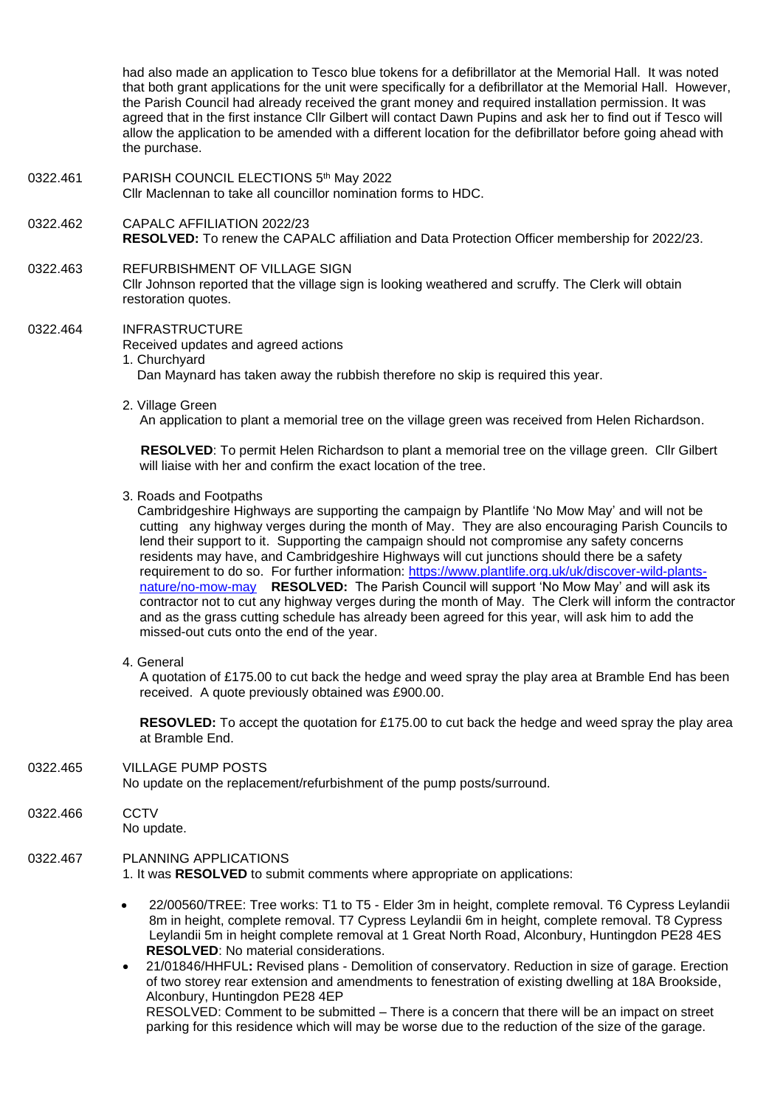had also made an application to Tesco blue tokens for a defibrillator at the Memorial Hall. It was noted that both grant applications for the unit were specifically for a defibrillator at the Memorial Hall. However, the Parish Council had already received the grant money and required installation permission. It was agreed that in the first instance Cllr Gilbert will contact Dawn Pupins and ask her to find out if Tesco will allow the application to be amended with a different location for the defibrillator before going ahead with the purchase.

- 0322.461 PARISH COUNCIL ELECTIONS 5<sup>th</sup> May 2022 Cllr Maclennan to take all councillor nomination forms to HDC.
- 0322.462 CAPALC AFFILIATION 2022/23 **RESOLVED:** To renew the CAPALC affiliation and Data Protection Officer membership for 2022/23.
- 0322.463 REFURBISHMENT OF VILLAGE SIGN

Cllr Johnson reported that the village sign is looking weathered and scruffy. The Clerk will obtain restoration quotes.

- 0322.464 INFRASTRUCTURE
	- Received updates and agreed actions
	- 1. Churchyard

Dan Maynard has taken away the rubbish therefore no skip is required this year.

2. Village Green

An application to plant a memorial tree on the village green was received from Helen Richardson.

 **RESOLVED**: To permit Helen Richardson to plant a memorial tree on the village green. Cllr Gilbert will liaise with her and confirm the exact location of the tree.

3. Roads and Footpaths

 Cambridgeshire Highways are supporting the campaign by Plantlife 'No Mow May' and will not be cutting any highway verges during the month of May. They are also encouraging Parish Councils to lend their support to it. Supporting the campaign should not compromise any safety concerns residents may have, and Cambridgeshire Highways will cut junctions should there be a safety requirement to do so. For further information: [https://www.plantlife.org.uk/uk/discover-wild-plants](https://www.plantlife.org.uk/uk/discover-wild-plants-nature/no-mow-may)[nature/no-mow-may](https://www.plantlife.org.uk/uk/discover-wild-plants-nature/no-mow-may) **RESOLVED:** The Parish Council will support 'No Mow May' and will ask its contractor not to cut any highway verges during the month of May. The Clerk will inform the contractor and as the grass cutting schedule has already been agreed for this year, will ask him to add the missed-out cuts onto the end of the year.

4. General

A quotation of £175.00 to cut back the hedge and weed spray the play area at Bramble End has been received. A quote previously obtained was £900.00.

**RESOVLED:** To accept the quotation for £175.00 to cut back the hedge and weed spray the play area at Bramble End.

0322.465 VILLAGE PUMP POSTS

No update on the replacement/refurbishment of the pump posts/surround.

0322.466 CCTV No update.

0322.467 PLANNING APPLICATIONS

1. It was **RESOLVED** to submit comments where appropriate on applications:

• 22/00560/TREE: Tree works: T1 to T5 - Elder 3m in height, complete removal. T6 Cypress Leylandii 8m in height, complete removal. T7 Cypress Leylandii 6m in height, complete removal. T8 Cypress Leylandii 5m in height complete removal at 1 Great North Road, Alconbury, Huntingdon PE28 4ES **RESOLVED**: No material considerations.

• 21/01846/HHFUL**:** Revised plans - Demolition of conservatory. Reduction in size of garage. Erection of two storey rear extension and amendments to fenestration of existing dwelling at 18A Brookside, Alconbury, Huntingdon PE28 4EP RESOLVED: Comment to be submitted – There is a concern that there will be an impact on street parking for this residence which will may be worse due to the reduction of the size of the garage.